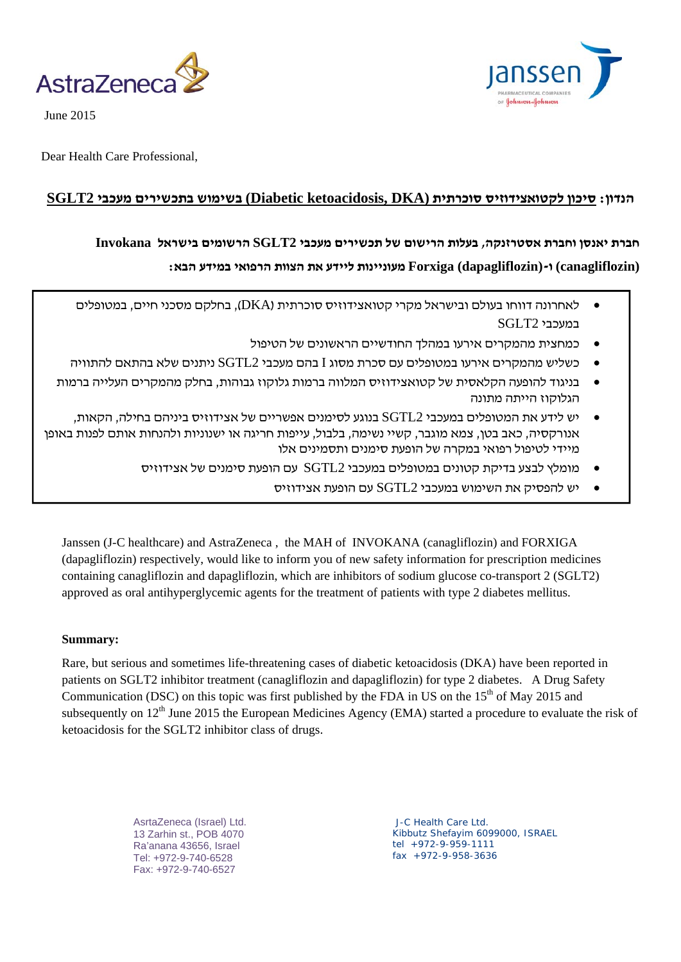



June 2015

Dear Health Care Professional,

## **הנדון: סיכון לקטואצידוזיס סוכרתית (DKA ,ketoacidosis Diabetic (בשימוש בתכשירים מעכבי 2SGLT**

# **חברת יאנסן וחברת אסטרזנקה, בעלות הרישום של תכשירים מעכבי 2SGLT הרשומים בישראל Invokana (canagliflozin (ו-(dapagliflozin (Forxiga מעוניינות ליידע את הצוות הרפואי במידע הבא:**

- לאחרונה דווחו בעולם ובישראל מקרי קטואצידוזיס סוכרתית (DKA(, בחלקם מסכני חיים, במטופלים במעכבי 2SGLT
	- כמחצית מהמקרים אירעו במהלך החודשיים הראשונים של הטיפול
- כשליש מהמקרים אירעו במטופלים עם סכרת מסוג I בהם מעכבי 2SGTL ניתנים שלא בהתאם להתוויה
- בניגוד להופעה הקלאסית של קטואצידוזיס המלווה ברמות גלוקוז גבוהות, בחלק מהמקרים העלייה ברמות הגלוקוז הייתה מתונה
- יש לידע את המטופלים במעכבי 2SGTL בנוגע לסימנים אפשריים של אצידוזיס ביניהם בחילה, הקאות, אנורקסיה, כאב בטן, צמא מוגבר, קשיי נשימה, בלבול, עייפות חריגה או ישנוניות ולהנחות אותם לפנות באופן מיידי לטיפול רפואי במקרה של הופעת סימנים ותסמינים אלו
	- מומלץ לבצע בדיקת קטונים במטופלים במעכבי  $\mathrm{SGTL2}$  עם הופעת סימנים של אצידוזיס
		- יש להפסיק את השימוש במעכבי 2SGTL עם הופעת אצידוזיס

Janssen (J-C healthcare) and AstraZeneca , the MAH of INVOKANA (canagliflozin) and FORXIGA (dapagliflozin) respectively, would like to inform you of new safety information for prescription medicines containing canagliflozin and dapagliflozin, which are inhibitors of sodium glucose co-transport 2 (SGLT2) approved as oral antihyperglycemic agents for the treatment of patients with type 2 diabetes mellitus.

## **Summary:**

Rare, but serious and sometimes life-threatening cases of diabetic ketoacidosis (DKA) have been reported in patients on SGLT2 inhibitor treatment (canagliflozin and dapagliflozin) for type 2 diabetes. A Drug Safety Communication (DSC) on this topic was first published by the FDA in US on the  $15<sup>th</sup>$  of May 2015 and subsequently on 12<sup>th</sup> June 2015 the European Medicines Agency (EMA) started a procedure to evaluate the risk of ketoacidosis for the SGLT2 inhibitor class of drugs.

> AsrtaZeneca (Israel) Ltd. 13 Zarhin st., POB 4070 Ra'anana 43656, Israel Tel: +972-9-740-6528 Fax: +972-9-740-6527

 J-C Health Care Ltd. Kibbutz Shefayim 6099000, ISRAEL tel +972-9-959-1111 fax +972-9-958-3636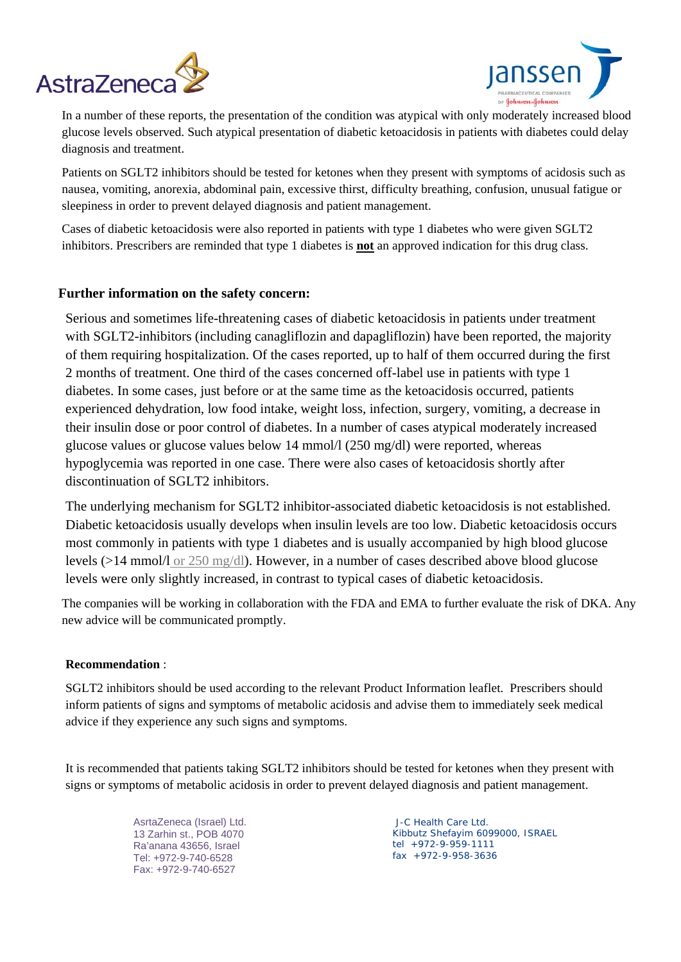



In a number of these reports, the presentation of the condition was atypical with only moderately increased blood glucose levels observed. Such atypical presentation of diabetic ketoacidosis in patients with diabetes could delay diagnosis and treatment.

Patients on SGLT2 inhibitors should be tested for ketones when they present with symptoms of acidosis such as nausea, vomiting, anorexia, abdominal pain, excessive thirst, difficulty breathing, confusion, unusual fatigue or sleepiness in order to prevent delayed diagnosis and patient management.

Cases of diabetic ketoacidosis were also reported in patients with type 1 diabetes who were given SGLT2 inhibitors. Prescribers are reminded that type 1 diabetes is **not** an approved indication for this drug class.

## **Further information on the safety concern:**

Serious and sometimes life-threatening cases of diabetic ketoacidosis in patients under treatment with SGLT2-inhibitors (including canagliflozin and dapagliflozin) have been reported, the majority of them requiring hospitalization. Of the cases reported, up to half of them occurred during the first 2 months of treatment. One third of the cases concerned off-label use in patients with type 1 diabetes. In some cases, just before or at the same time as the ketoacidosis occurred, patients experienced dehydration, low food intake, weight loss, infection, surgery, vomiting, a decrease in their insulin dose or poor control of diabetes. In a number of cases atypical moderately increased glucose values or glucose values below 14 mmol/l (250 mg/dl) were reported, whereas hypoglycemia was reported in one case. There were also cases of ketoacidosis shortly after discontinuation of SGLT2 inhibitors.

The underlying mechanism for SGLT2 inhibitor-associated diabetic ketoacidosis is not established. Diabetic ketoacidosis usually develops when insulin levels are too low. Diabetic ketoacidosis occurs most commonly in patients with type 1 diabetes and is usually accompanied by high blood glucose levels (>14 mmol/l or 250 mg/dl). However, in a number of cases described above blood glucose levels were only slightly increased, in contrast to typical cases of diabetic ketoacidosis.

The companies will be working in collaboration with the FDA and EMA to further evaluate the risk of DKA. Any new advice will be communicated promptly.

## **Recommendation** :

SGLT2 inhibitors should be used according to the relevant Product Information leaflet. Prescribers should inform patients of signs and symptoms of metabolic acidosis and advise them to immediately seek medical advice if they experience any such signs and symptoms.

It is recommended that patients taking SGLT2 inhibitors should be tested for ketones when they present with signs or symptoms of metabolic acidosis in order to prevent delayed diagnosis and patient management.

> AsrtaZeneca (Israel) Ltd. 13 Zarhin st., POB 4070 Ra'anana 43656, Israel Tel: +972-9-740-6528 Fax: +972-9-740-6527

 J-C Health Care Ltd. Kibbutz Shefayim 6099000, ISRAEL tel +972-9-959-1111 fax +972-9-958-3636